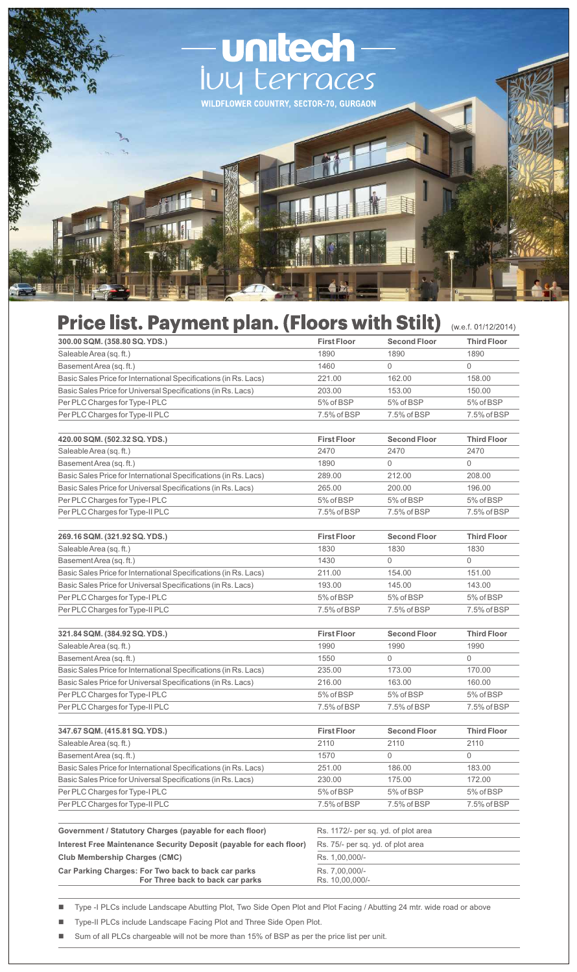

## Price list. Payment plan. (Floors with Stilt) (W.e.f. 01/12/2014)

| 300.00 SQM. (358.80 SQ. YDS.)                                       | <b>First Floor</b>                  | <b>Second Floor</b> | <b>Third Floor</b> |
|---------------------------------------------------------------------|-------------------------------------|---------------------|--------------------|
| Saleable Area (sq. ft.)                                             | 1890                                | 1890                | 1890               |
| BasementArea (sq. ft.)                                              | 1460                                | 0                   | $\mathbf 0$        |
| Basic Sales Price for International Specifications (in Rs. Lacs)    | 221.00                              | 162.00              | 158.00             |
| Basic Sales Price for Universal Specifications (in Rs. Lacs)        | 203.00                              | 153.00              | 150.00             |
| Per PLC Charges for Type-I PLC                                      | 5% of BSP                           | 5% of BSP           | 5% of BSP          |
| Per PLC Charges for Type-II PLC                                     | 7.5% of BSP                         | 7.5% of BSP         | 7.5% of BSP        |
|                                                                     |                                     |                     |                    |
| 420.00 SQM. (502.32 SQ. YDS.)                                       | <b>First Floor</b>                  | <b>Second Floor</b> | <b>Third Floor</b> |
| Saleable Area (sq. ft.)                                             | 2470                                | 2470                | 2470               |
| Basement Area (sq. ft.)                                             | 1890                                | $\Omega$            | $\Omega$           |
| Basic Sales Price for International Specifications (in Rs. Lacs)    | 289.00                              | 212.00              | 208.00             |
| Basic Sales Price for Universal Specifications (in Rs. Lacs)        | 265.00                              | 200.00              | 196.00             |
| Per PLC Charges for Type-I PLC                                      | 5% of BSP                           | 5% of BSP           | 5% of BSP          |
| Per PLC Charges for Type-II PLC                                     | 7.5% of BSP                         | 7.5% of BSP         | 7.5% of BSP        |
|                                                                     |                                     |                     |                    |
| 269.16 SQM. (321.92 SQ. YDS.)                                       | <b>First Floor</b>                  | <b>Second Floor</b> | <b>Third Floor</b> |
| Saleable Area (sq. ft.)                                             | 1830                                | 1830                | 1830               |
| Basement Area (sq. ft.)                                             | 1430                                | $\Omega$            | $\Omega$           |
| Basic Sales Price for International Specifications (in Rs. Lacs)    | 211.00                              | 154.00              | 151.00             |
| Basic Sales Price for Universal Specifications (in Rs. Lacs)        | 193.00                              | 145.00              | 143.00             |
| Per PLC Charges for Type-I PLC                                      | 5% of BSP                           | 5% of BSP           | 5% of BSP          |
| Per PLC Charges for Type-II PLC                                     | 7.5% of BSP                         | 7.5% of BSP         | 7.5% of BSP        |
|                                                                     |                                     |                     |                    |
| 321.84 SQM. (384.92 SQ. YDS.)                                       | <b>First Floor</b>                  | <b>Second Floor</b> | <b>Third Floor</b> |
| Saleable Area (sq. ft.)                                             | 1990                                | 1990                | 1990               |
| Basement Area (sq. ft.)                                             | 1550                                | $\Omega$            | $\Omega$           |
| Basic Sales Price for International Specifications (in Rs. Lacs)    | 235.00                              | 173.00              | 170.00             |
| Basic Sales Price for Universal Specifications (in Rs. Lacs)        | 216.00                              | 163.00              | 160.00             |
| Per PLC Charges for Type-I PLC                                      | 5% of BSP                           | 5% of BSP           | 5% of BSP          |
| Per PLC Charges for Type-II PLC                                     | 7.5% of BSP                         | 7.5% of BSP         | 7.5% of BSP        |
|                                                                     |                                     |                     |                    |
| 347.67 SQM. (415.81 SQ. YDS.)                                       | <b>First Floor</b>                  | <b>Second Floor</b> | <b>Third Floor</b> |
| Saleable Area (sq. ft.)                                             | 2110                                | 2110                | 2110               |
| Basement Area (sq. ft.)                                             | 1570                                | 0                   | 0                  |
| Basic Sales Price for International Specifications (in Rs. Lacs)    | 251.00                              | 186.00              | 183.00             |
| Basic Sales Price for Universal Specifications (in Rs. Lacs)        | 230.00                              | 175.00              | 172.00             |
| Per PLC Charges for Type-I PLC                                      | 5% of BSP                           | 5% of BSP           | 5% of BSP          |
| Per PLC Charges for Type-II PLC                                     | 7.5% of BSP                         | 7.5% of BSP         | 7.5% of BSP        |
|                                                                     |                                     |                     |                    |
| Government / Statutory Charges (payable for each floor)             | Rs. 1172/- per sq. yd. of plot area |                     |                    |
| Interest Free Maintenance Security Deposit (payable for each floor) | Rs. 75/- per sq. yd. of plot area   |                     |                    |
| <b>Club Membership Charges (CMC)</b>                                | Rs. 1,00,000/-                      |                     |                    |
| Car Parking Charges: For Two back to back car parks                 | Rs. 7,00,000/-                      |                     |                    |
| For Three back to back car parks                                    | Rs. 10,00,000/-                     |                     |                    |

■ Type -I PLCs include Landscape Abutting Plot, Two Side Open Plot and Plot Facing / Abutting 24 mtr. wide road or above

■ Type-II PLCs include Landscape Facing Plot and Three Side Open Plot.

Sum of all PLCs chargeable will not be more than 15% of BSP as per the price list per unit.